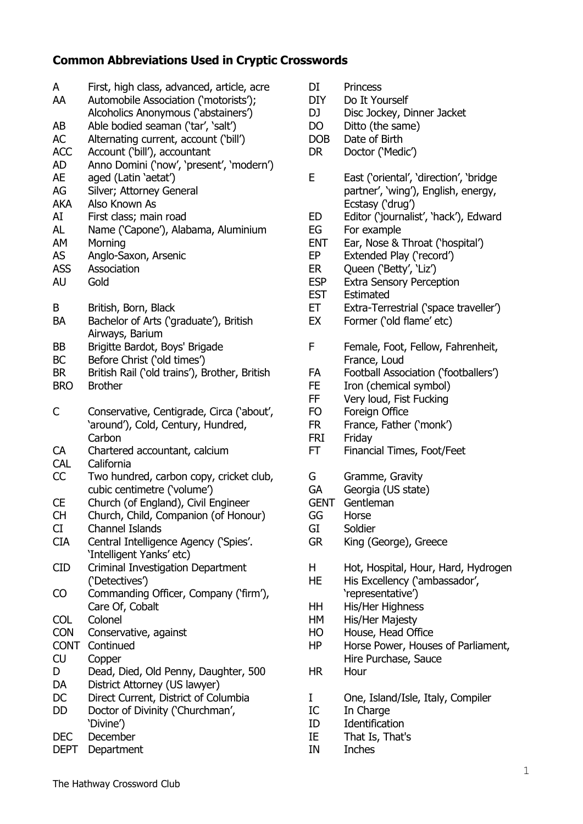## **Common Abbreviations Used in Cryptic Crosswords**

| A<br>AA     | First, high class, advanced, article, acre<br>Automobile Association ('motorists');<br>Alcoholics Anonymous ('abstainers') | С<br>D<br>D |
|-------------|----------------------------------------------------------------------------------------------------------------------------|-------------|
| AB          | Able bodied seaman ('tar', 'salt')                                                                                         | D           |
| <b>AC</b>   | Alternating current, account ('bill')                                                                                      | D           |
| <b>ACC</b>  | Account ('bill'), accountant                                                                                               | D           |
| <b>AD</b>   | Anno Domini ('now', 'present', 'modern')                                                                                   |             |
| <b>AE</b>   | aged (Latin 'aetat')                                                                                                       | Е           |
| AG          | Silver; Attorney General                                                                                                   |             |
| <b>AKA</b>  | Also Known As                                                                                                              |             |
|             |                                                                                                                            |             |
| AI          | First class; main road                                                                                                     | E           |
| <b>AL</b>   | Name ('Capone'), Alabama, Aluminium                                                                                        | E           |
| AM          | Morning                                                                                                                    | E           |
| <b>AS</b>   | Anglo-Saxon, Arsenic                                                                                                       | E           |
| <b>ASS</b>  | Association                                                                                                                | E           |
| <b>AU</b>   | Gold                                                                                                                       | E           |
|             |                                                                                                                            | E           |
| B           | British, Born, Black                                                                                                       | E           |
| <b>BA</b>   | Bachelor of Arts ('graduate'), British                                                                                     | E           |
|             | Airways, Barium                                                                                                            |             |
| <b>BB</b>   | Brigitte Bardot, Boys' Brigade                                                                                             | F           |
| <b>BC</b>   | Before Christ ('old times')                                                                                                |             |
| <b>BR</b>   | British Rail ('old trains'), Brother, British                                                                              | F           |
| <b>BRO</b>  | <b>Brother</b>                                                                                                             | F           |
|             |                                                                                                                            | F           |
| С           | Conservative, Centigrade, Circa ('about',                                                                                  | F           |
|             | 'around'), Cold, Century, Hundred,                                                                                         | F           |
|             | Carbon                                                                                                                     | F           |
| CA          | Chartered accountant, calcium                                                                                              | F           |
| CAL         | California                                                                                                                 |             |
| CC          | Two hundred, carbon copy, cricket club,                                                                                    | G           |
|             | cubic centimetre ('volume')                                                                                                | G           |
| <b>CE</b>   | Church (of England), Civil Engineer                                                                                        | G           |
| <b>CH</b>   | Church, Child, Companion (of Honour)                                                                                       | G           |
| CI          | <b>Channel Islands</b>                                                                                                     | G           |
| <b>CIA</b>  | Central Intelligence Agency ('Spies'.                                                                                      | G           |
|             | 'Intelligent Yanks' etc)                                                                                                   |             |
| <b>CID</b>  | Criminal Investigation Department                                                                                          | ۲           |
|             | ('Detectives')                                                                                                             | ۲           |
| CO          | Commanding Officer, Company ('firm'),                                                                                      |             |
|             | Care Of, Cobalt                                                                                                            | ۲           |
| <b>COL</b>  | Colonel                                                                                                                    | ۲           |
| <b>CON</b>  | Conservative, against                                                                                                      | ۲           |
| <b>CONT</b> | Continued                                                                                                                  | ۲           |
| <b>CU</b>   | Copper                                                                                                                     |             |
| D           | Dead, Died, Old Penny, Daughter, 500                                                                                       | ۲           |
| DA          | District Attorney (US lawyer)                                                                                              |             |
| DC          | Direct Current, District of Columbia                                                                                       | I           |
| <b>DD</b>   | Doctor of Divinity ('Churchman',                                                                                           | I           |
|             | 'Divine')                                                                                                                  | I           |
| <b>DEC</b>  | December                                                                                                                   | I           |
| <b>DEPT</b> | Department                                                                                                                 | I           |

| DI                                                                              | Princess                                                                                                                                                                                                                                                                                                                                                                |
|---------------------------------------------------------------------------------|-------------------------------------------------------------------------------------------------------------------------------------------------------------------------------------------------------------------------------------------------------------------------------------------------------------------------------------------------------------------------|
| <b>DIY</b>                                                                      | Do It Yourself                                                                                                                                                                                                                                                                                                                                                          |
| DJ                                                                              | Disc Jockey, Dinner Jacket                                                                                                                                                                                                                                                                                                                                              |
| DO                                                                              | Ditto (the same)                                                                                                                                                                                                                                                                                                                                                        |
| <b>DOB</b>                                                                      | Date of Birth                                                                                                                                                                                                                                                                                                                                                           |
| DR                                                                              | Doctor ('Medic')                                                                                                                                                                                                                                                                                                                                                        |
| E<br>ED<br>EG<br><b>ENT</b><br>EΡ<br>ER<br><b>ESP</b><br><b>EST</b><br>ET<br>EX | East ('oriental', 'direction', 'bridge<br>partner', 'wing'), English, energy,<br>Ecstasy ('drug')<br>Editor ('journalist', 'hack'), Edward<br>For example<br>Ear, Nose & Throat ('hospital')<br>Extended Play ('record')<br>Queen ('Betty', 'Liz')<br><b>Extra Sensory Perception</b><br>Estimated<br>Extra-Terrestrial ('space traveller')<br>Former ('old flame' etc) |
| F<br>FA<br>FE<br>FF<br>FO<br><b>FR</b><br>FRI<br>FT                             | Female, Foot, Fellow, Fahrenheit,<br>France, Loud<br>Football Association ('footballers')<br>Iron (chemical symbol)<br>Very loud, Fist Fucking<br>Foreign Office<br>France, Father ('monk')<br>Friday<br><b>Financial Times, Foot/Feet</b>                                                                                                                              |
| G                                                                               | Gramme, Gravity                                                                                                                                                                                                                                                                                                                                                         |
| GA                                                                              | Georgia (US state)                                                                                                                                                                                                                                                                                                                                                      |
| <b>GENT</b>                                                                     | Gentleman                                                                                                                                                                                                                                                                                                                                                               |
| GG                                                                              | Horse                                                                                                                                                                                                                                                                                                                                                                   |
| GI                                                                              | Soldier                                                                                                                                                                                                                                                                                                                                                                 |
| GR                                                                              | King (George), Greece                                                                                                                                                                                                                                                                                                                                                   |
| н<br>HЕ<br>HН<br>HМ<br>HО<br>ΗP<br>НR                                           | Hot, Hospital, Hour, Hard, Hydrogen<br>His Excellency ('ambassador',<br>'representative')<br>His/Her Highness<br>His/Her Majesty<br>House, Head Office<br>Horse Power, Houses of Parliament,<br>Hire Purchase, Sauce<br>Hour                                                                                                                                            |
| I                                                                               | One, Island/Isle, Italy, Compiler                                                                                                                                                                                                                                                                                                                                       |
| IC                                                                              | In Charge                                                                                                                                                                                                                                                                                                                                                               |
| ID                                                                              | Identification                                                                                                                                                                                                                                                                                                                                                          |
| ΤF                                                                              | That Is That's                                                                                                                                                                                                                                                                                                                                                          |

IE That Is, That's Inches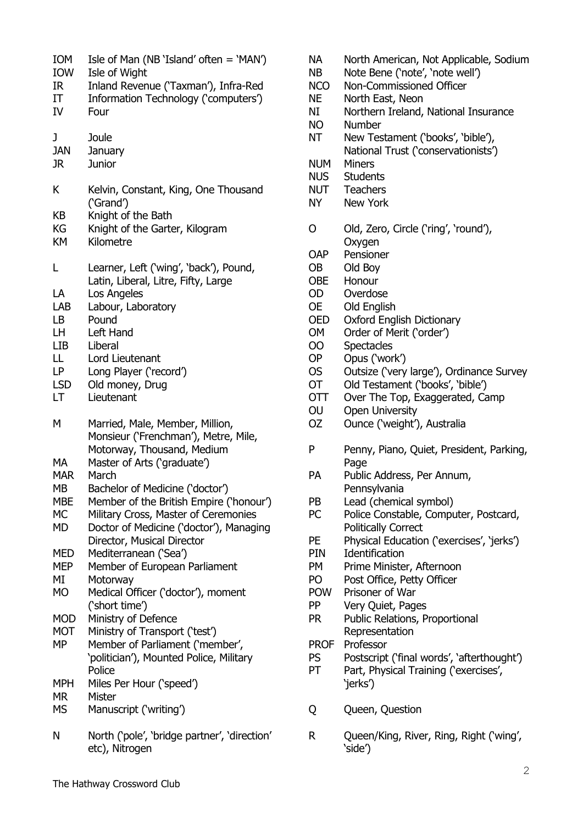| IOW<br>IR<br>IΤ<br>IV                                                                                                | Isle of Man (NB 'Island' often $=$ 'MAN')<br>Isle of Wight<br>Inland Revenue ('Taxman'), Infra-Red<br>Information Technology ('computers')<br>Four                                                                                                                                                                                                                                                                                                                                                             |
|----------------------------------------------------------------------------------------------------------------------|----------------------------------------------------------------------------------------------------------------------------------------------------------------------------------------------------------------------------------------------------------------------------------------------------------------------------------------------------------------------------------------------------------------------------------------------------------------------------------------------------------------|
| J<br><b>JAN</b><br>JR.                                                                                               | Joule<br>January<br><b>Junior</b>                                                                                                                                                                                                                                                                                                                                                                                                                                                                              |
| K<br>КB<br>КG<br>KM                                                                                                  | Kelvin, Constant, King, One Thousand<br>('Grand')<br>Knight of the Bath<br>Knight of the Garter, Kilogram<br>Kilometre                                                                                                                                                                                                                                                                                                                                                                                         |
| L<br>LA<br>LAB<br>LB<br>LH<br>LIB.<br>LL<br>LP.<br><b>LSD</b><br>LT                                                  | Learner, Left ('wing', 'back'), Pound,<br>Latin, Liberal, Litre, Fifty, Large<br>Los Angeles<br>Labour, Laboratory<br>Pound<br>Left Hand<br>Liberal<br>Lord Lieutenant<br>Long Player ('record')<br>Old money, Drug<br>Lieutenant                                                                                                                                                                                                                                                                              |
| M<br>MA<br><b>MAR</b><br><b>MB</b><br><b>MBE</b><br>МC                                                               | Married, Male, Member, Million,<br>Monsieur ('Frenchman'), Metre, Mile,<br>Motorway, Thousand, Medium<br>Master of Arts ('graduate')<br>March<br>Bachelor of Medicine ('doctor')                                                                                                                                                                                                                                                                                                                               |
| MD<br><b>MED</b><br>MEP<br>MI<br><b>MO</b><br><b>MOD</b><br><b>MOT</b><br>MP<br><b>MPH</b><br><b>MR</b><br><b>MS</b> | Member of the British Empire ('honour')<br>Military Cross, Master of Ceremonies<br>Doctor of Medicine ('doctor'), Managing<br>Director, Musical Director<br>Mediterranean ('Sea')<br>Member of European Parliament<br>Motorway<br>Medical Officer ('doctor'), moment<br>('short time')<br>Ministry of Defence<br>Ministry of Transport ('test')<br>Member of Parliament ('member',<br>'politician'), Mounted Police, Military<br>Police<br>Miles Per Hour ('speed')<br><b>Mister</b><br>Manuscript ('writing') |

- NA North American, Not Applicable, Sodium
- NB Note Bene ('note', 'note well')
- NCO Non-Commissioned Officer
- NE North East, Neon
- NI Northern Ireland, National Insurance
- NO Number
- NT New Testament ('books', 'bible'), National Trust ('conservationists')
- NUM Miners
- NUS Students
- NUT Teachers
- NY New York
- O Old, Zero, Circle ('ring', 'round'), **Oxygen**
- OAP Pensioner
- OB Old Boy
- OBE Honour
- OD Overdose
- OE Old English
- OED Oxford English Dictionary
- OM Order of Merit ('order')
- OO Spectacles
- OP Opus ('work')
- OS Outsize ('very large'), Ordinance Survey
- OT Old Testament ('books', 'bible')
- OTT Over The Top, Exaggerated, Camp
- OU Open University
- OZ Ounce ('weight'), Australia
- P Penny, Piano, Quiet, President, Parking, Page
- PA Public Address, Per Annum, Pennsylvania
- PB Lead (chemical symbol)
- PC Police Constable, Computer, Postcard, Politically Correct
- PE Physical Education ('exercises', 'jerks')
- PIN Identification
- PM Prime Minister, Afternoon
- PO Post Office, Petty Officer
- POW Prisoner of War
- PP Very Quiet, Pages
- PR Public Relations, Proportional Representation
- PROF Professor
- PS Postscript ('final words', 'afterthought')
- PT Part, Physical Training ('exercises', 'jerks')
- Q Queen, Question
- R Queen/King, River, Ring, Right ('wing', 'side')